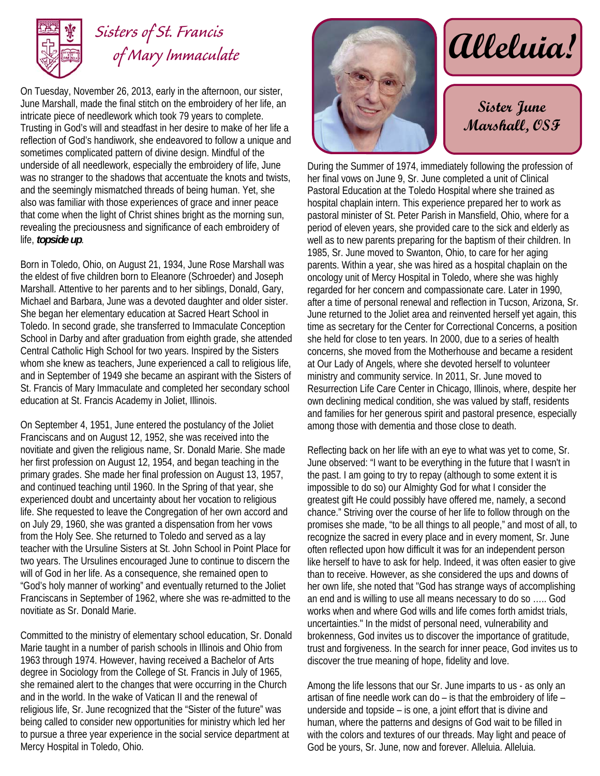

## *Sisters of St. Francis*

On Tuesday, November 26, 2013, early in the afternoon, our sister, June Marshall, made the final stitch on the embroidery of her life, an intricate piece of needlework which took 79 years to complete. Trusting in God's will and steadfast in her desire to make of her life a reflection of God's handiwork, she endeavored to follow a unique and sometimes complicated pattern of divine design. Mindful of the underside of all needlework, especially the embroidery of life, June was no stranger to the shadows that accentuate the knots and twists, and the seemingly mismatched threads of being human. Yet, she also was familiar with those experiences of grace and inner peace that come when the light of Christ shines bright as the morning sun, revealing the preciousness and significance of each embroidery of life, *topside up*.

Born in Toledo, Ohio, on August 21, 1934, June Rose Marshall was the eldest of five children born to Eleanore (Schroeder) and Joseph Marshall. Attentive to her parents and to her siblings, Donald, Gary, Michael and Barbara, June was a devoted daughter and older sister. She began her elementary education at Sacred Heart School in Toledo. In second grade, she transferred to Immaculate Conception School in Darby and after graduation from eighth grade, she attended Central Catholic High School for two years. Inspired by the Sisters whom she knew as teachers, June experienced a call to religious life, and in September of 1949 she became an aspirant with the Sisters of St. Francis of Mary Immaculate and completed her secondary school education at St. Francis Academy in Joliet, Illinois.

On September 4, 1951, June entered the postulancy of the Joliet Franciscans and on August 12, 1952, she was received into the novitiate and given the religious name, Sr. Donald Marie. She made her first profession on August 12, 1954, and began teaching in the primary grades. She made her final profession on August 13, 1957, and continued teaching until 1960. In the Spring of that year, she experienced doubt and uncertainty about her vocation to religious life. She requested to leave the Congregation of her own accord and on July 29, 1960, she was granted a dispensation from her vows from the Holy See. She returned to Toledo and served as a lay teacher with the Ursuline Sisters at St. John School in Point Place for two years. The Ursulines encouraged June to continue to discern the will of God in her life. As a consequence, she remained open to "God's holy manner of working" and eventually returned to the Joliet Franciscans in September of 1962, where she was re-admitted to the novitiate as Sr. Donald Marie.

Committed to the ministry of elementary school education, Sr. Donald Marie taught in a number of parish schools in Illinois and Ohio from 1963 through 1974. However, having received a Bachelor of Arts degree in Sociology from the College of St. Francis in July of 1965, she remained alert to the changes that were occurring in the Church and in the world. In the wake of Vatican II and the renewal of religious life, Sr. June recognized that the "Sister of the future" was being called to consider new opportunities for ministry which led her to pursue a three year experience in the social service department at Mercy Hospital in Toledo, Ohio.



 $\alpha$ *lleluia!* 

**Sister June Marshall, OSF** 

During the Summer of 1974, immediately following the profession of her final vows on June 9, Sr. June completed a unit of Clinical Pastoral Education at the Toledo Hospital where she trained as hospital chaplain intern. This experience prepared her to work as pastoral minister of St. Peter Parish in Mansfield, Ohio, where for a period of eleven years, she provided care to the sick and elderly as well as to new parents preparing for the baptism of their children. In 1985, Sr. June moved to Swanton, Ohio, to care for her aging parents. Within a year, she was hired as a hospital chaplain on the oncology unit of Mercy Hospital in Toledo, where she was highly regarded for her concern and compassionate care. Later in 1990, after a time of personal renewal and reflection in Tucson, Arizona, Sr. June returned to the Joliet area and reinvented herself yet again, this time as secretary for the Center for Correctional Concerns, a position she held for close to ten years. In 2000, due to a series of health concerns, she moved from the Motherhouse and became a resident at Our Lady of Angels, where she devoted herself to volunteer ministry and community service. In 2011, Sr. June moved to Resurrection Life Care Center in Chicago, Illinois, where, despite her own declining medical condition, she was valued by staff, residents and families for her generous spirit and pastoral presence, especially among those with dementia and those close to death.

Reflecting back on her life with an eye to what was yet to come, Sr. June observed: "I want to be everything in the future that I wasn't in the past. I am going to try to repay (although to some extent it is impossible to do so) our Almighty God for what I consider the greatest gift He could possibly have offered me, namely, a second chance." Striving over the course of her life to follow through on the promises she made, "to be all things to all people," and most of all, to recognize the sacred in every place and in every moment, Sr. June often reflected upon how difficult it was for an independent person like herself to have to ask for help. Indeed, it was often easier to give than to receive. However, as she considered the ups and downs of her own life, she noted that "God has strange ways of accomplishing an end and is willing to use all means necessary to do so ….. God works when and where God wills and life comes forth amidst trials, uncertainties." In the midst of personal need, vulnerability and brokenness, God invites us to discover the importance of gratitude, trust and forgiveness. In the search for inner peace, God invites us to discover the true meaning of hope, fidelity and love.

Among the life lessons that our Sr. June imparts to us - as only an artisan of fine needle work can do – is that the embroidery of life – underside and topside – is one, a joint effort that is divine and human, where the patterns and designs of God wait to be filled in with the colors and textures of our threads. May light and peace of God be yours, Sr. June, now and forever. Alleluia. Alleluia.